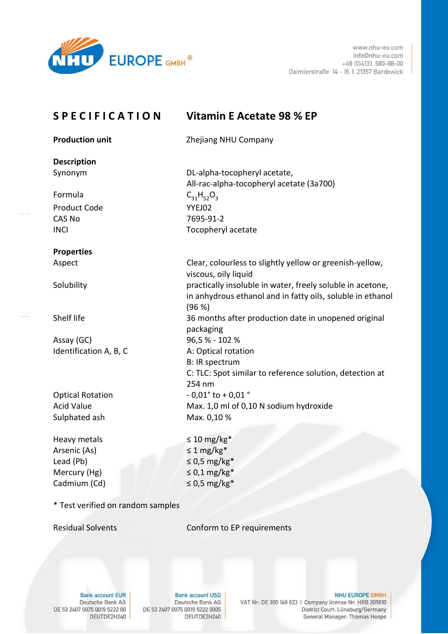

www.nhu-eu.com info@nhu-eu.com  $+49(0)4131580-88-00$ Daimlerstraße 14 - 16 | 21357 Bardowick

| <b>SPECIFICATION</b>    | Vitamin E Acetate 98 % EP                                                                                                          |
|-------------------------|------------------------------------------------------------------------------------------------------------------------------------|
| <b>Production unit</b>  | Zhejiang NHU Company                                                                                                               |
| <b>Description</b>      |                                                                                                                                    |
| Synonym                 | DL-alpha-tocopheryl acetate,<br>All-rac-alpha-tocopheryl acetate (3a700)                                                           |
| Formula                 | $C_{31}H_{52}O_3$                                                                                                                  |
| <b>Product Code</b>     | YYEJ02                                                                                                                             |
| <b>CAS No</b>           | 7695-91-2                                                                                                                          |
| <b>INCI</b>             | Tocopheryl acetate                                                                                                                 |
| <b>Properties</b>       |                                                                                                                                    |
| Aspect                  | Clear, colourless to slightly yellow or greenish-yellow,<br>viscous, oily liquid                                                   |
| Solubility              | practically insoluble in water, freely soluble in acetone,<br>in anhydrous ethanol and in fatty oils, soluble in ethanol<br>(96 %) |
| Shelf life              | 36 months after production date in unopened original<br>packaging                                                                  |
| Assay (GC)              | 96,5% - 102%                                                                                                                       |
| Identification A, B, C  | A: Optical rotation                                                                                                                |
|                         | <b>B: IR spectrum</b>                                                                                                              |
|                         | C: TLC: Spot similar to reference solution, detection at<br>254 nm                                                                 |
| <b>Optical Rotation</b> | $-0.01^{\circ}$ to $+0.01^{\circ}$                                                                                                 |
| <b>Acid Value</b>       | Max. 1,0 ml of 0,10 N sodium hydroxide                                                                                             |
| Sulphated ash           | Max. 0,10 %                                                                                                                        |
| Heavy metals            | $\leq 10$ mg/kg <sup>*</sup>                                                                                                       |
| Arsenic (As)            | $\leq$ 1 mg/kg <sup>*</sup>                                                                                                        |
| Lead (Pb)               | $\leq 0.5$ mg/kg*                                                                                                                  |
| Mercury (Hg)            | $\leq 0.1$ mg/kg*                                                                                                                  |
| Cadmium (Cd)            | $\leq$ 0,5 mg/kg*                                                                                                                  |
|                         |                                                                                                                                    |

\* Test verified on random samples

**Residual Solvents** 

Conform to EP requirements

**Bank account EUR** Deutsche Bank AG DE 53 2407 0075 0019 5222 00 DEUTDE2H240

**Bank account USD** Deutsche Bank AG DE 53 2407 0075 0019 5222 0005 DEUTDE2H240

NHU EUROPE GMBH VAT Nr: DE 300 149 623 | Company license Nr: HRB 205610

District Court: Lüneburg/Germany

General Manager: Thomas Hoops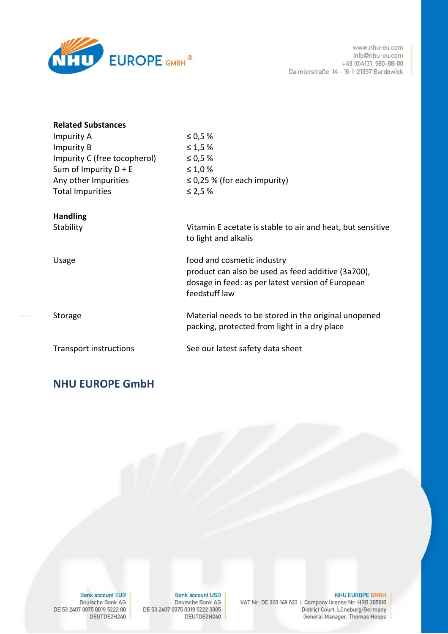

| <b>Related Substances</b>     |                                                                                    |
|-------------------------------|------------------------------------------------------------------------------------|
| Impurity A                    | ≤ 0,5 $%$                                                                          |
| <b>Impurity B</b>             | $\leq 1.5 \%$                                                                      |
| Impurity C (free tocopherol)  | ≤ 0,5 $%$                                                                          |
| Sum of Impurity $D + E$       | $\leq 1.0 \%$                                                                      |
| Any other Impurities          | $\leq$ 0,25 % (for each impurity)                                                  |
| <b>Total Impurities</b>       | ≤ 2,5 $%$                                                                          |
|                               |                                                                                    |
| <b>Handling</b>               |                                                                                    |
| Stability                     | Vitamin E acetate is stable to air and heat, but sensitive<br>to light and alkalis |
|                               |                                                                                    |
| Usage                         | food and cosmetic industry                                                         |
|                               | product can also be used as feed additive (3a700),                                 |
|                               | dosage in feed: as per latest version of European                                  |
|                               | feedstuff law                                                                      |
|                               |                                                                                    |
| Storage                       | Material needs to be stored in the original unopened                               |
|                               | packing, protected from light in a dry place                                       |
| <b>Transport instructions</b> | See our latest safety data sheet                                                   |
|                               |                                                                                    |

## **NHU EUROPE GmbH**

NHU EUROPE GMBH VAT Nr: DE 300 149 623 | Company license Nr: HRB 205610 District Court: Lüneburg/Germany General Manager: Thomas Hoops

**Bank account USD** Deutsche Bank AG DE 53 2407 0075 0019 5222 0005 DEUTDE2H240

**Bank account EUR** Deutsche Bank AG DE 53 2407 0075 0019 5222 00 DEUTDE2H240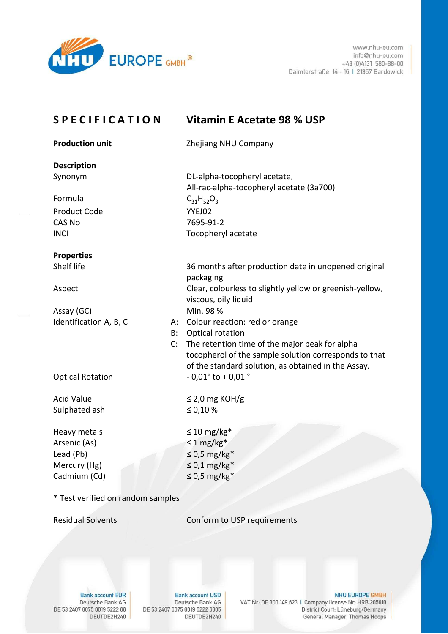

www.nhu-eu.com info@nhu-eu.com +49 (0)4131 580-88-00 Daimlerstraße 14 - 16 | 21357 Bardowick

|               | <b>SPECIFICATION</b>              |           | <b>Vitamin E Acetate 98 % USP</b>                                                         |
|---------------|-----------------------------------|-----------|-------------------------------------------------------------------------------------------|
|               | <b>Production unit</b>            |           | Zhejiang NHU Company                                                                      |
|               | <b>Description</b>                |           |                                                                                           |
|               | Synonym                           |           | DL-alpha-tocopheryl acetate,<br>All-rac-alpha-tocopheryl acetate (3a700)                  |
|               | Formula                           |           | $C_{31}H_{52}O_3$                                                                         |
|               | <b>Product Code</b>               |           | YYEJ02                                                                                    |
| <b>CAS No</b> |                                   |           | 7695-91-2                                                                                 |
| <b>INCI</b>   |                                   |           | Tocopheryl acetate                                                                        |
|               | <b>Properties</b>                 |           |                                                                                           |
|               | Shelf life                        |           | 36 months after production date in unopened original<br>packaging                         |
| Aspect        |                                   |           | Clear, colourless to slightly yellow or greenish-yellow,<br>viscous, oily liquid          |
|               | Assay (GC)                        |           | Min. 98 %                                                                                 |
|               | Identification A, B, C            | A:        | Colour reaction: red or orange                                                            |
|               |                                   | <b>B:</b> | Optical rotation                                                                          |
|               |                                   | C:        | The retention time of the major peak for alpha                                            |
|               |                                   |           | tocopherol of the sample solution corresponds to that                                     |
|               | <b>Optical Rotation</b>           |           | of the standard solution, as obtained in the Assay.<br>$-0.01^{\circ}$ to $+0.01^{\circ}$ |
|               |                                   |           |                                                                                           |
|               | <b>Acid Value</b>                 |           | $\leq$ 2,0 mg KOH/g                                                                       |
|               | Sulphated ash                     |           | ≤ 0,10 $%$                                                                                |
|               | Heavy metals                      |           | $\leq 10$ mg/kg*                                                                          |
|               | Arsenic (As)                      |           | $\leq 1$ mg/kg <sup>*</sup>                                                               |
|               | Lead (Pb)                         |           | $\leq$ 0,5 mg/kg*                                                                         |
|               | Mercury (Hg)                      |           | $\leq 0.1$ mg/kg*                                                                         |
|               | Cadmium (Cd)                      |           | $\leq$ 0,5 mg/kg*                                                                         |
|               | * Test verified on random samples |           |                                                                                           |
|               | <b>Residual Solvents</b>          |           | Conform to USP requirements                                                               |
|               |                                   |           |                                                                                           |
|               |                                   |           |                                                                                           |
|               |                                   |           |                                                                                           |

**Bank account EUR** Deutsche Bank AG DE 53 2407 0075 0019 5222 00 DEUTDE2H240

**Bank account USD** Deutsche Bank AG DE 53 2407 0075 0019 5222 0005 DEUTDE2H240

NHU EUROPE GMBH VAT Nr: DE 300 149 623 | Company license Nr: HRB 205610 District Court: Lüneburg/Germany General Manager: Thomas Hoops